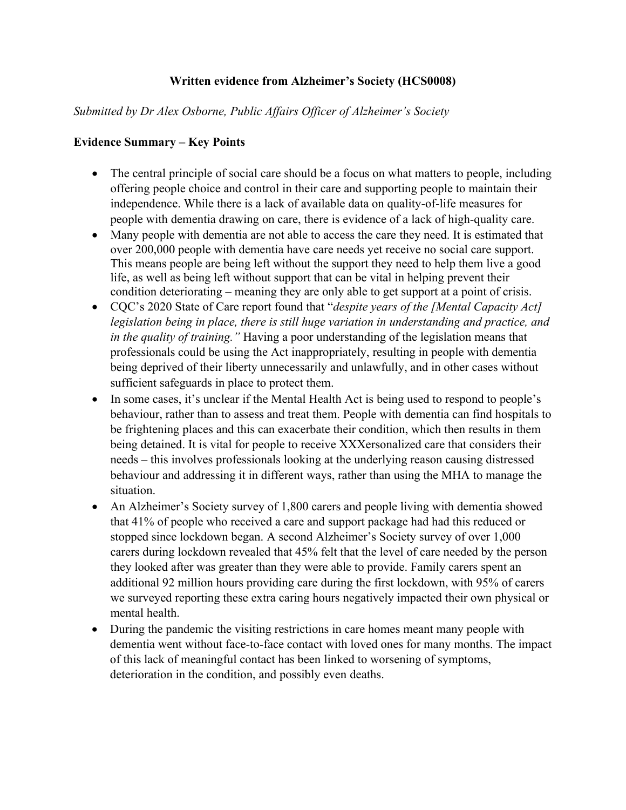## **Written evidence from Alzheimer's Society (HCS0008)**

### *Submitted by Dr Alex Osborne, Public Affairs Officer of Alzheimer's Society*

#### **Evidence Summary – Key Points**

- The central principle of social care should be a focus on what matters to people, including offering people choice and control in their care and supporting people to maintain their independence. While there is a lack of available data on quality-of-life measures for people with dementia drawing on care, there is evidence of a lack of high-quality care.
- Many people with dementia are not able to access the care they need. It is estimated that over 200,000 people with dementia have care needs yet receive no social care support. This means people are being left without the support they need to help them live a good life, as well as being left without support that can be vital in helping prevent their condition deteriorating – meaning they are only able to get support at a point of crisis.
- CQC's 2020 State of Care report found that "*despite years of the [Mental Capacity Act] legislation being in place, there is still huge variation in understanding and practice, and in the quality of training."* Having a poor understanding of the legislation means that professionals could be using the Act inappropriately, resulting in people with dementia being deprived of their liberty unnecessarily and unlawfully, and in other cases without sufficient safeguards in place to protect them.
- In some cases, it's unclear if the Mental Health Act is being used to respond to people's behaviour, rather than to assess and treat them. People with dementia can find hospitals to be frightening places and this can exacerbate their condition, which then results in them being detained. It is vital for people to receive XXXersonalized care that considers their needs – this involves professionals looking at the underlying reason causing distressed behaviour and addressing it in different ways, rather than using the MHA to manage the situation.
- An Alzheimer's Society survey of 1,800 carers and people living with dementia showed that 41% of people who received a care and support package had had this reduced or stopped since lockdown began. A second Alzheimer's Society survey of over 1,000 carers during lockdown revealed that 45% felt that the level of care needed by the person they looked after was greater than they were able to provide. Family carers spent an additional 92 million hours providing care during the first lockdown, with 95% of carers we surveyed reporting these extra caring hours negatively impacted their own physical or mental health.
- During the pandemic the visiting restrictions in care homes meant many people with dementia went without face-to-face contact with loved ones for many months. The impact of this lack of meaningful contact has been linked to worsening of symptoms, deterioration in the condition, and possibly even deaths.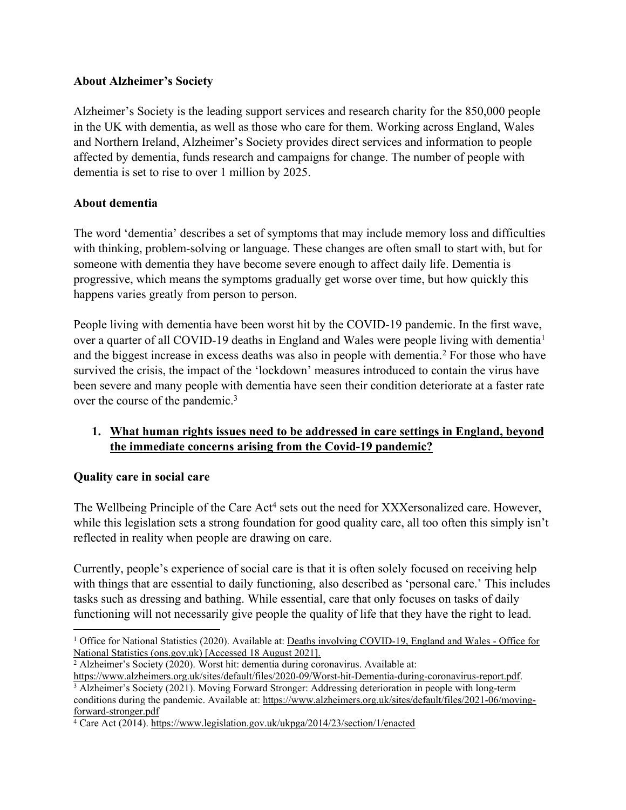## **About Alzheimer's Society**

Alzheimer's Society is the leading support services and research charity for the 850,000 people in the UK with dementia, as well as those who care for them. Working across England, Wales and Northern Ireland, Alzheimer's Society provides direct services and information to people affected by dementia, funds research and campaigns for change. The number of people with dementia is set to rise to over 1 million by 2025.

## **About dementia**

The word 'dementia' describes a set of symptoms that may include memory loss and difficulties with thinking, problem-solving or language. These changes are often small to start with, but for someone with dementia they have become severe enough to affect daily life. Dementia is progressive, which means the symptoms gradually get worse over time, but how quickly this happens varies greatly from person to person.

People living with dementia have been worst hit by the COVID-19 pandemic. In the first wave, over a quarter of all COVID-19 deaths in England and Wales were people living with dementia<sup>1</sup> and the biggest increase in excess deaths was also in people with dementia.<sup>2</sup> For those who have survived the crisis, the impact of the 'lockdown' measures introduced to contain the virus have been severe and many people with dementia have seen their condition deteriorate at a faster rate over the course of the pandemic.<sup>3</sup>

# **1. What human rights issues need to be addressed in care settings in England, beyond the immediate concerns arising from the Covid-19 pandemic?**

### **Quality care in social care**

The Wellbeing Principle of the Care Act<sup>4</sup> sets out the need for XXXersonalized care. However, while this legislation sets a strong foundation for good quality care, all too often this simply isn't reflected in reality when people are drawing on care.

Currently, people's experience of social care is that it is often solely focused on receiving help with things that are essential to daily functioning, also described as 'personal care.' This includes tasks such as dressing and bathing. While essential, care that only focuses on tasks of daily functioning will not necessarily give people the quality of life that they have the right to lead.

<sup>&</sup>lt;sup>1</sup> Office for National Statistics (2020). Available at: [Deaths](https://www.ons.gov.uk/peoplepopulationandcommunity/birthsdeathsandmarriages/deaths/bulletins/deathsinvolvingcovid19englandandwales/deathsoccurringinjune2020) [involving](https://www.ons.gov.uk/peoplepopulationandcommunity/birthsdeathsandmarriages/deaths/bulletins/deathsinvolvingcovid19englandandwales/deathsoccurringinjune2020) [COVID-19,](https://www.ons.gov.uk/peoplepopulationandcommunity/birthsdeathsandmarriages/deaths/bulletins/deathsinvolvingcovid19englandandwales/deathsoccurringinjune2020) [England](https://www.ons.gov.uk/peoplepopulationandcommunity/birthsdeathsandmarriages/deaths/bulletins/deathsinvolvingcovid19englandandwales/deathsoccurringinjune2020) [and](https://www.ons.gov.uk/peoplepopulationandcommunity/birthsdeathsandmarriages/deaths/bulletins/deathsinvolvingcovid19englandandwales/deathsoccurringinjune2020) [Wales](https://www.ons.gov.uk/peoplepopulationandcommunity/birthsdeathsandmarriages/deaths/bulletins/deathsinvolvingcovid19englandandwales/deathsoccurringinjune2020) [-](https://www.ons.gov.uk/peoplepopulationandcommunity/birthsdeathsandmarriages/deaths/bulletins/deathsinvolvingcovid19englandandwales/deathsoccurringinjune2020) [Office](https://www.ons.gov.uk/peoplepopulationandcommunity/birthsdeathsandmarriages/deaths/bulletins/deathsinvolvingcovid19englandandwales/deathsoccurringinjune2020) [for](https://www.ons.gov.uk/peoplepopulationandcommunity/birthsdeathsandmarriages/deaths/bulletins/deathsinvolvingcovid19englandandwales/deathsoccurringinjune2020) [National](https://www.ons.gov.uk/peoplepopulationandcommunity/birthsdeathsandmarriages/deaths/bulletins/deathsinvolvingcovid19englandandwales/deathsoccurringinjune2020) [Statistics](https://www.ons.gov.uk/peoplepopulationandcommunity/birthsdeathsandmarriages/deaths/bulletins/deathsinvolvingcovid19englandandwales/deathsoccurringinjune2020) [\(ons.gov.uk\)](https://www.ons.gov.uk/peoplepopulationandcommunity/birthsdeathsandmarriages/deaths/bulletins/deathsinvolvingcovid19englandandwales/deathsoccurringinjune2020) [Accessed 18 August 2021].

<sup>2</sup> Alzheimer's Society (2020). Worst hit: dementia during coronavirus. Available at:

[https://www.alzheimers.org.uk/sites/default/files/2020-09/Worst-hit-Dementia-during-coronavirus-report.pdf.](https://www.alzheimers.org.uk/sites/default/files/2020-09/Worst-hit-Dementia-during-coronavirus-report.pdf)

<sup>3</sup> Alzheimer's Society (2021). Moving Forward Stronger: Addressing deterioration in people with long-term conditions during the pandemic. Available at: [https://www.alzheimers.org.uk/sites/default/files/2021-06/moving](https://www.alzheimers.org.uk/sites/default/files/2021-06/moving-forward-stronger.pdf)[forward-stronger.pdf](https://www.alzheimers.org.uk/sites/default/files/2021-06/moving-forward-stronger.pdf)

<sup>&</sup>lt;sup>4</sup> Care Act (2014). <https://www.legislation.gov.uk/ukpga/2014/23/section/1/enacted>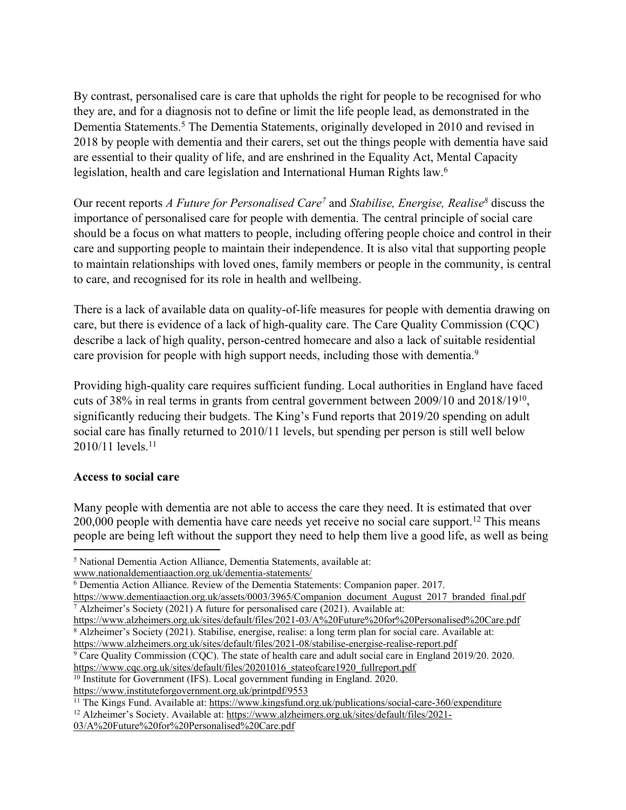By contrast, personalised care is care that upholds the right for people to be recognised for who they are, and for a diagnosis not to define or limit the life people lead, as demonstrated in the Dementia Statements.<sup>5</sup> The Dementia Statements, originally developed in 2010 and revised in 2018 by people with dementia and their carers, set out the things people with dementia have said are essential to their quality of life, and are enshrined in the Equality Act, Mental Capacity legislation, health and care legislation and International Human Rights law.<sup>6</sup>

Our recent reports *A Future for Personalised Care<sup>7</sup>* and *Stabilise, Energise, Realise<sup>8</sup>* discuss the importance of personalised care for people with dementia. The central principle of social care should be a focus on what matters to people, including offering people choice and control in their care and supporting people to maintain their independence. It is also vital that supporting people to maintain relationships with loved ones, family members or people in the community, is central to care, and recognised for its role in health and wellbeing.

There is a lack of available data on quality-of-life measures for people with dementia drawing on care, but there is evidence of a lack of high-quality care. The Care Quality Commission (CQC) describe a lack of high quality, person-centred homecare and also a lack of suitable residential care provision for people with high support needs, including those with dementia.<sup>9</sup>

Providing high-quality care requires sufficient funding. Local authorities in England have faced cuts of 38% in real terms in grants from central government between 2009/10 and 2018/19<sup>10</sup> , significantly reducing their budgets. The King's Fund reports that 2019/20 spending on adult social care has finally returned to 2010/11 levels, but spending per person is still well below 2010/11 levels.<sup>11</sup>

#### **Access to social care**

Many people with dementia are not able to access the care they need. It is estimated that over 200,000 people with dementia have care needs yet receive no social care support.<sup>12</sup> This means people are being left without the support they need to help them live a good life, as well as being

<https://www.alzheimers.org.uk/sites/default/files/2021-08/stabilise-energise-realise-report.pdf>

<sup>9</sup> Care Quality Commission (CQC). The state of health care and adult social care in England 2019/20. 2020. [https://www.cqc.org.uk/sites/default/files/20201016\\_stateofcare1920\\_fullreport.pdf](https://www.cqc.org.uk/sites/default/files/20201016_stateofcare1920_fullreport.pdf)

<https://www.instituteforgovernment.org.uk/printpdf/9553>

<sup>12</sup> Alzheimer's Society. Available at: [https://www.alzheimers.org.uk/sites/default/files/2021-](https://www.alzheimers.org.uk/sites/default/files/2021-03/A%20Future%20for%20Personalised%20Care.pdf)

<sup>5</sup> National Dementia Action Alliance, Dementia Statements, available at:

[www.nationaldementiaaction.org.uk/dementia-statements/](http://www.nationaldementiaaction.org.uk/dementia-statements/)

<sup>6</sup> Dementia Action Alliance. Review of the Dementia Statements: Companion paper. 2017.

[https://www.dementiaaction.org.uk/assets/0003/3965/Companion\\_document\\_August\\_2017\\_branded\\_final.pdf](https://www.dementiaaction.org.uk/assets/0003/3965/Companion_document_August_2017_branded_final.pdf) <sup>7</sup> Alzheimer's Society (2021) A future for personalised care (2021). Available at:

<https://www.alzheimers.org.uk/sites/default/files/2021-03/A%20Future%20for%20Personalised%20Care.pdf> <sup>8</sup> Alzheimer's Society (2021). Stabilise, energise, realise: a long term plan for social care. Available at:

<sup>10</sup> Institute for Government (IFS). Local government funding in England. 2020.

<sup>11</sup> The Kings Fund. Available at: <https://www.kingsfund.org.uk/publications/social-care-360/expenditure>

[<sup>03/</sup>A%20Future%20for%20Personalised%20Care.pdf](https://www.alzheimers.org.uk/sites/default/files/2021-03/A%20Future%20for%20Personalised%20Care.pdf)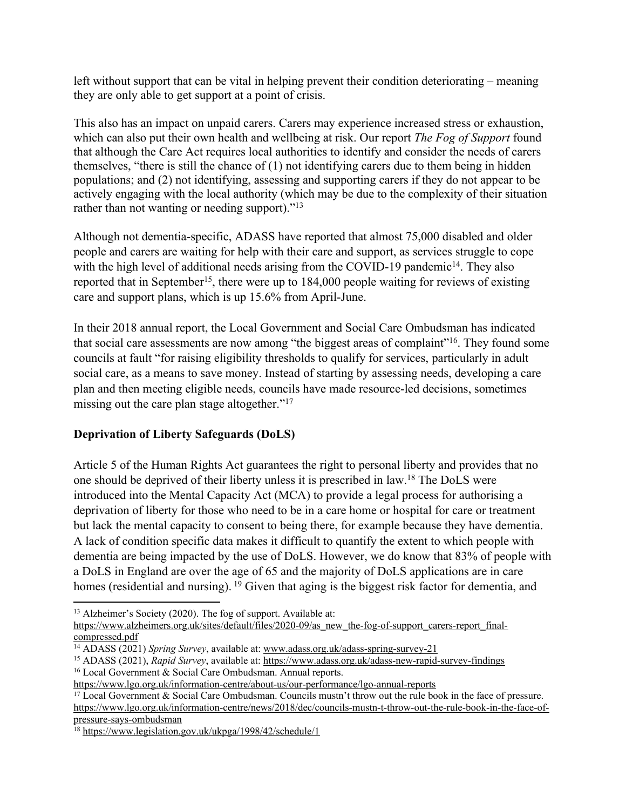left without support that can be vital in helping prevent their condition deteriorating – meaning they are only able to get support at a point of crisis.

This also has an impact on unpaid carers. Carers may experience increased stress or exhaustion, which can also put their own health and wellbeing at risk. Our report *The Fog of Support* found that although the Care Act requires local authorities to identify and consider the needs of carers themselves, "there is still the chance of (1) not identifying carers due to them being in hidden populations; and (2) not identifying, assessing and supporting carers if they do not appear to be actively engaging with the local authority (which may be due to the complexity of their situation rather than not wanting or needing support)."<sup>13</sup>

Although not dementia-specific, ADASS have reported that almost 75,000 disabled and older people and carers are waiting for help with their care and support, as services struggle to cope with the high level of additional needs arising from the COVID-19 pandemic<sup>14</sup>. They also reported that in September<sup>15</sup>, there were up to 184,000 people waiting for reviews of existing care and support plans, which is up 15.6% from April-June.

In their 2018 annual report, the Local Government and Social Care Ombudsman has indicated that social care assessments are now among "the biggest areas of complaint"<sup>16</sup>. They found some councils at fault "for raising eligibility thresholds to qualify for services, particularly in adult social care, as a means to save money. Instead of starting by assessing needs, developing a care plan and then meeting eligible needs, councils have made resource-led decisions, sometimes missing out the care plan stage altogether."<sup>17</sup>

# **Deprivation of Liberty Safeguards (DoLS)**

Article 5 of the Human Rights Act guarantees the right to personal liberty and provides that no one should be deprived of their liberty unless it is prescribed in law.<sup>18</sup> The DoLS were introduced into the Mental Capacity Act (MCA) to provide a legal process for authorising a deprivation of liberty for those who need to be in a care home or hospital for care or treatment but lack the mental capacity to consent to being there, for example because they have dementia. A lack of condition specific data makes it difficult to quantify the extent to which people with dementia are being impacted by the use of DoLS. However, we do know that 83% of people with a DoLS in England are over the age of 65 and the majority of DoLS applications are in care homes (residential and nursing). <sup>19</sup> Given that aging is the biggest risk factor for dementia, and

<sup>13</sup> Alzheimer's Society (2020). The fog of support. Available at:

[https://www.alzheimers.org.uk/sites/default/files/2020-09/as\\_new\\_the-fog-of-support\\_carers-report\\_final](https://www.alzheimers.org.uk/sites/default/files/2020-09/as_new_the-fog-of-support_carers-report_final-compressed.pdf)[compressed.pdf](https://www.alzheimers.org.uk/sites/default/files/2020-09/as_new_the-fog-of-support_carers-report_final-compressed.pdf)

<sup>14</sup> ADASS (2021) *Spring Survey*, available at: www.adass.org.uk/adass-spring-survey-21

<sup>15</sup> ADASS (2021), *Rapid Survey*, available at: <https://www.adass.org.uk/adass-new-rapid-survey-findings> <sup>16</sup> Local Government & Social Care Ombudsman. Annual reports.

<https://www.lgo.org.uk/information-centre/about-us/our-performance/lgo-annual-reports>

<sup>17</sup> Local Government & Social Care Ombudsman. Councils mustn't throw out the rule book in the face of pressure. [https://www.lgo.org.uk/information-centre/news/2018/dec/councils-mustn-t-throw-out-the-rule-book-in-the-face-of](https://www.lgo.org.uk/information-centre/news/2018/dec/councils-mustn-t-throw-out-the-rule-book-in-the-face-of-pressure-says-ombudsman)[pressure-says-ombudsman](https://www.lgo.org.uk/information-centre/news/2018/dec/councils-mustn-t-throw-out-the-rule-book-in-the-face-of-pressure-says-ombudsman)

<sup>18</sup> <https://www.legislation.gov.uk/ukpga/1998/42/schedule/1>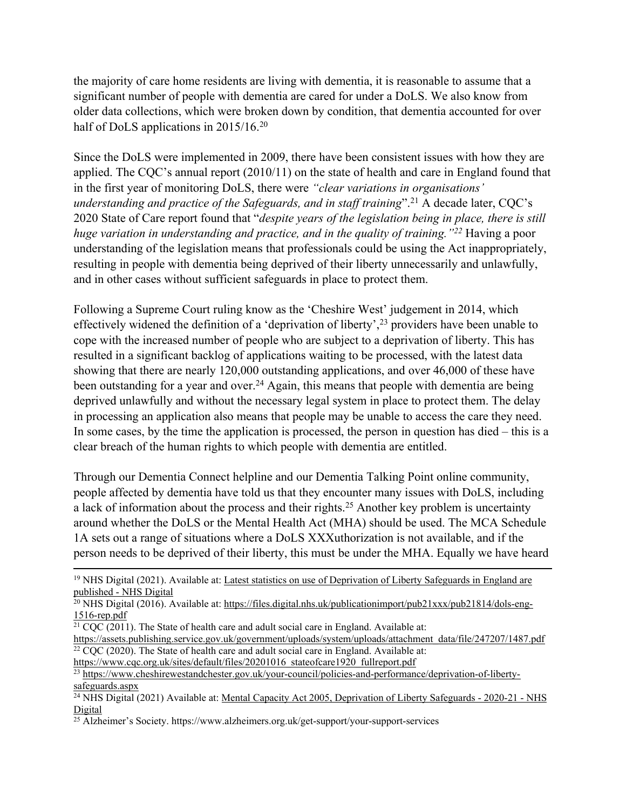the majority of care home residents are living with dementia, it is reasonable to assume that a significant number of people with dementia are cared for under a DoLS. We also know from older data collections, which were broken down by condition, that dementia accounted for over half of DoLS applications in 2015/16.<sup>20</sup>

Since the DoLS were implemented in 2009, there have been consistent issues with how they are applied. The CQC's annual report (2010/11) on the state of health and care in England found that in the first year of monitoring DoLS, there were *"clear variations in organisations' understanding and practice of the Safeguards, and in staff training*".<sup>21</sup> A decade later, CQC's 2020 State of Care report found that "*despite years of the legislation being in place, there is still huge variation in understanding and practice, and in the quality of training."<sup>22</sup>* Having a poor understanding of the legislation means that professionals could be using the Act inappropriately, resulting in people with dementia being deprived of their liberty unnecessarily and unlawfully, and in other cases without sufficient safeguards in place to protect them.

Following a Supreme Court ruling know as the 'Cheshire West' judgement in 2014, which effectively widened the definition of a 'deprivation of liberty',<sup>23</sup> providers have been unable to cope with the increased number of people who are subject to a deprivation of liberty. This has resulted in a significant backlog of applications waiting to be processed, with the latest data showing that there are nearly 120,000 outstanding applications, and over 46,000 of these have been outstanding for a year and over.<sup>24</sup> Again, this means that people with dementia are being deprived unlawfully and without the necessary legal system in place to protect them. The delay in processing an application also means that people may be unable to access the care they need. In some cases, by the time the application is processed, the person in question has died – this is a clear breach of the human rights to which people with dementia are entitled.

Through our Dementia Connect helpline and our Dementia Talking Point online community, people affected by dementia have told us that they encounter many issues with DoLS, including a lack of information about the process and their rights.<sup>25</sup> Another key problem is uncertainty around whether the DoLS or the Mental Health Act (MHA) should be used. The MCA Schedule 1A sets out a range of situations where a DoLS XXXuthorization is not available, and if the person needs to be deprived of their liberty, this must be under the MHA. Equally we have heard

[https://www.cqc.org.uk/sites/default/files/20201016\\_stateofcare1920\\_fullreport.pdf](https://www.cqc.org.uk/sites/default/files/20201016_stateofcare1920_fullreport.pdf)

<sup>23</sup> [https://www.cheshirewestandchester.gov.uk/your-council/policies-and-performance/deprivation-of-liberty](https://www.cheshirewestandchester.gov.uk/your-council/policies-and-performance/deprivation-of-liberty-safeguards.aspx)[safeguards.aspx](https://www.cheshirewestandchester.gov.uk/your-council/policies-and-performance/deprivation-of-liberty-safeguards.aspx)

<sup>19</sup> NHS Digital (2021). Available at: [Latest](https://digital.nhs.uk/news/2021/latest-statistics-on-use-of-deprivation-of-liberty-safeguards-in-england-are-published) [statistics](https://digital.nhs.uk/news/2021/latest-statistics-on-use-of-deprivation-of-liberty-safeguards-in-england-are-published) [on](https://digital.nhs.uk/news/2021/latest-statistics-on-use-of-deprivation-of-liberty-safeguards-in-england-are-published) [use](https://digital.nhs.uk/news/2021/latest-statistics-on-use-of-deprivation-of-liberty-safeguards-in-england-are-published) [of](https://digital.nhs.uk/news/2021/latest-statistics-on-use-of-deprivation-of-liberty-safeguards-in-england-are-published) [Deprivation](https://digital.nhs.uk/news/2021/latest-statistics-on-use-of-deprivation-of-liberty-safeguards-in-england-are-published) [of](https://digital.nhs.uk/news/2021/latest-statistics-on-use-of-deprivation-of-liberty-safeguards-in-england-are-published) [Liberty](https://digital.nhs.uk/news/2021/latest-statistics-on-use-of-deprivation-of-liberty-safeguards-in-england-are-published) [Safeguards](https://digital.nhs.uk/news/2021/latest-statistics-on-use-of-deprivation-of-liberty-safeguards-in-england-are-published) [in](https://digital.nhs.uk/news/2021/latest-statistics-on-use-of-deprivation-of-liberty-safeguards-in-england-are-published) [England](https://digital.nhs.uk/news/2021/latest-statistics-on-use-of-deprivation-of-liberty-safeguards-in-england-are-published) [are](https://digital.nhs.uk/news/2021/latest-statistics-on-use-of-deprivation-of-liberty-safeguards-in-england-are-published) [published](https://digital.nhs.uk/news/2021/latest-statistics-on-use-of-deprivation-of-liberty-safeguards-in-england-are-published) [-](https://digital.nhs.uk/news/2021/latest-statistics-on-use-of-deprivation-of-liberty-safeguards-in-england-are-published) [NHS](https://digital.nhs.uk/news/2021/latest-statistics-on-use-of-deprivation-of-liberty-safeguards-in-england-are-published) [Digital](https://digital.nhs.uk/news/2021/latest-statistics-on-use-of-deprivation-of-liberty-safeguards-in-england-are-published)

 $^{20}$  NHS Digital (2016). Available at: [https://files.digital.nhs.uk/publicationimport/pub21xxx/pub21814/dols-eng-](https://files.digital.nhs.uk/publicationimport/pub21xxx/pub21814/dols-eng-1516-rep.pdf)[1516-rep.pdf](https://files.digital.nhs.uk/publicationimport/pub21xxx/pub21814/dols-eng-1516-rep.pdf)

 $21$  COC (2011). The State of health care and adult social care in England. Available at:

[https://assets.publishing.service.gov.uk/government/uploads/system/uploads/attachment\\_data/file/247207/1487.pdf](https://assets.publishing.service.gov.uk/government/uploads/system/uploads/attachment_data/file/247207/1487.pdf)  $22$  CQC (2020). The State of health care and adult social care in England. Available at:

<sup>&</sup>lt;sup>24</sup> NHS Digital (2021) Available at: [Mental](https://digital.nhs.uk/data-and-information/publications/statistical/mental-capacity-act-2005-deprivation-of-liberty-safeguards-assessments/2020-21) [Capacity](https://digital.nhs.uk/data-and-information/publications/statistical/mental-capacity-act-2005-deprivation-of-liberty-safeguards-assessments/2020-21) [Act](https://digital.nhs.uk/data-and-information/publications/statistical/mental-capacity-act-2005-deprivation-of-liberty-safeguards-assessments/2020-21) [2005,](https://digital.nhs.uk/data-and-information/publications/statistical/mental-capacity-act-2005-deprivation-of-liberty-safeguards-assessments/2020-21) [Deprivation](https://digital.nhs.uk/data-and-information/publications/statistical/mental-capacity-act-2005-deprivation-of-liberty-safeguards-assessments/2020-21) [of](https://digital.nhs.uk/data-and-information/publications/statistical/mental-capacity-act-2005-deprivation-of-liberty-safeguards-assessments/2020-21) [Liberty](https://digital.nhs.uk/data-and-information/publications/statistical/mental-capacity-act-2005-deprivation-of-liberty-safeguards-assessments/2020-21) [Safeguards](https://digital.nhs.uk/data-and-information/publications/statistical/mental-capacity-act-2005-deprivation-of-liberty-safeguards-assessments/2020-21) [-](https://digital.nhs.uk/data-and-information/publications/statistical/mental-capacity-act-2005-deprivation-of-liberty-safeguards-assessments/2020-21) [2020-21](https://digital.nhs.uk/data-and-information/publications/statistical/mental-capacity-act-2005-deprivation-of-liberty-safeguards-assessments/2020-21) - [NHS](https://digital.nhs.uk/data-and-information/publications/statistical/mental-capacity-act-2005-deprivation-of-liberty-safeguards-assessments/2020-21) [Digital](https://digital.nhs.uk/data-and-information/publications/statistical/mental-capacity-act-2005-deprivation-of-liberty-safeguards-assessments/2020-21)

<sup>25</sup> Alzheimer's Society. https://www.alzheimers.org.uk/get-support/your-support-services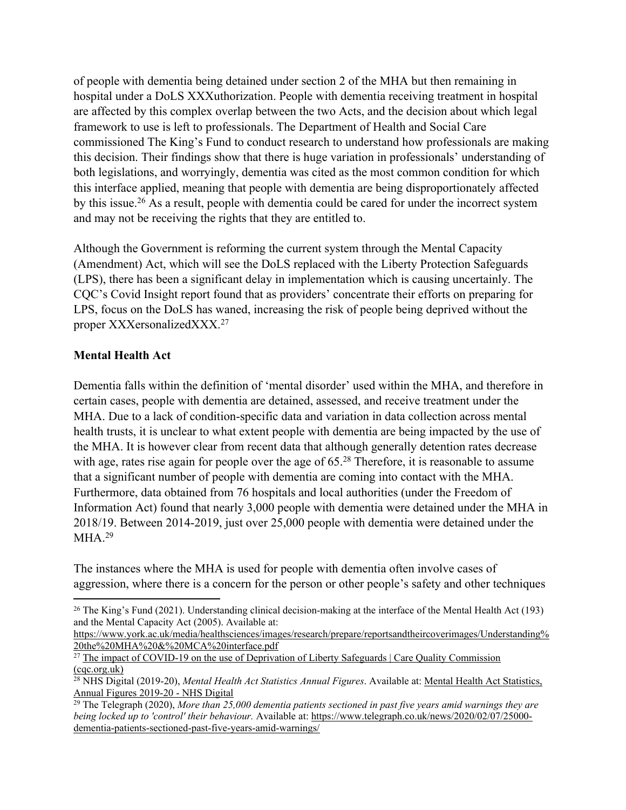of people with dementia being detained under section 2 of the MHA but then remaining in hospital under a DoLS XXXuthorization. People with dementia receiving treatment in hospital are affected by this complex overlap between the two Acts, and the decision about which legal framework to use is left to professionals. The Department of Health and Social Care commissioned The King's Fund to conduct research to understand how professionals are making this decision. Their findings show that there is huge variation in professionals' understanding of both legislations, and worryingly, dementia was cited as the most common condition for which this interface applied, meaning that people with dementia are being disproportionately affected by this issue.<sup>26</sup> As a result, people with dementia could be cared for under the incorrect system and may not be receiving the rights that they are entitled to.

Although the Government is reforming the current system through the Mental Capacity (Amendment) Act, which will see the DoLS replaced with the Liberty Protection Safeguards (LPS), there has been a significant delay in implementation which is causing uncertainly. The CQC's Covid Insight report found that as providers' concentrate their efforts on preparing for LPS, focus on the DoLS has waned, increasing the risk of people being deprived without the proper XXXersonalizedXXX. 27

### **Mental Health Act**

Dementia falls within the definition of 'mental disorder' used within the MHA, and therefore in certain cases, people with dementia are detained, assessed, and receive treatment under the MHA. Due to a lack of condition-specific data and variation in data collection across mental health trusts, it is unclear to what extent people with dementia are being impacted by the use of the MHA. It is however clear from recent data that although generally detention rates decrease with age, rates rise again for people over the age of 65.<sup>28</sup> Therefore, it is reasonable to assume that a significant number of people with dementia are coming into contact with the MHA. Furthermore, data obtained from 76 hospitals and local authorities (under the Freedom of Information Act) found that nearly 3,000 people with dementia were detained under the MHA in 2018/19. Between 2014-2019, just over 25,000 people with dementia were detained under the  $MHA.<sup>29</sup>$ 

The instances where the MHA is used for people with dementia often involve cases of aggression, where there is a concern for the person or other people's safety and other techniques

[https://www.york.ac.uk/media/healthsciences/images/research/prepare/reportsandtheircoverimages/Understanding%](https://www.york.ac.uk/media/healthsciences/images/research/prepare/reportsandtheircoverimages/Understanding%20the%20MHA%20&%20MCA%20interface.pdf) [20the%20MHA%20&%20MCA%20interface.pdf](https://www.york.ac.uk/media/healthsciences/images/research/prepare/reportsandtheircoverimages/Understanding%20the%20MHA%20&%20MCA%20interface.pdf)

<sup>26</sup> The King's Fund (2021). Understanding clinical decision-making at the interface of the Mental Health Act (193) and the Mental Capacity Act (2005). Available at:

<sup>&</sup>lt;sup>27</sup> [The](https://www.cqc.org.uk/publications/major-reports/impact-covid-19-use-deprivation-liberty-safeguards) [impact](https://www.cqc.org.uk/publications/major-reports/impact-covid-19-use-deprivation-liberty-safeguards) [of](https://www.cqc.org.uk/publications/major-reports/impact-covid-19-use-deprivation-liberty-safeguards) [COVID-19](https://www.cqc.org.uk/publications/major-reports/impact-covid-19-use-deprivation-liberty-safeguards) [on](https://www.cqc.org.uk/publications/major-reports/impact-covid-19-use-deprivation-liberty-safeguards) [the](https://www.cqc.org.uk/publications/major-reports/impact-covid-19-use-deprivation-liberty-safeguards) [use](https://www.cqc.org.uk/publications/major-reports/impact-covid-19-use-deprivation-liberty-safeguards) of [Deprivation](https://www.cqc.org.uk/publications/major-reports/impact-covid-19-use-deprivation-liberty-safeguards) of [Liberty](https://www.cqc.org.uk/publications/major-reports/impact-covid-19-use-deprivation-liberty-safeguards) [Safeguards](https://www.cqc.org.uk/publications/major-reports/impact-covid-19-use-deprivation-liberty-safeguards) [|](https://www.cqc.org.uk/publications/major-reports/impact-covid-19-use-deprivation-liberty-safeguards) [Care](https://www.cqc.org.uk/publications/major-reports/impact-covid-19-use-deprivation-liberty-safeguards) [Quality](https://www.cqc.org.uk/publications/major-reports/impact-covid-19-use-deprivation-liberty-safeguards) [Commission](https://www.cqc.org.uk/publications/major-reports/impact-covid-19-use-deprivation-liberty-safeguards) [\(cqc.org.uk\)](https://www.cqc.org.uk/publications/major-reports/impact-covid-19-use-deprivation-liberty-safeguards)

<sup>28</sup> NHS Digital [\(](https://digital.nhs.uk/data-and-information/publications/statistical/mental-health-act-statistics-annual-figures/2019-20-annual-figures)2019-2[0\),](https://digital.nhs.uk/data-and-information/publications/statistical/mental-health-act-statistics-annual-figures/2019-20-annual-figures) *Mental Health Act Statistics Annual Figures*. Available at: [Mental](https://digital.nhs.uk/data-and-information/publications/statistical/mental-health-act-statistics-annual-figures/2019-20-annual-figures) [Health](https://digital.nhs.uk/data-and-information/publications/statistical/mental-health-act-statistics-annual-figures/2019-20-annual-figures) [Act](https://digital.nhs.uk/data-and-information/publications/statistical/mental-health-act-statistics-annual-figures/2019-20-annual-figures) [Statistics,](https://digital.nhs.uk/data-and-information/publications/statistical/mental-health-act-statistics-annual-figures/2019-20-annual-figures) [Annual](https://digital.nhs.uk/data-and-information/publications/statistical/mental-health-act-statistics-annual-figures/2019-20-annual-figures) [Figures](https://digital.nhs.uk/data-and-information/publications/statistical/mental-health-act-statistics-annual-figures/2019-20-annual-figures) [2019-20](https://digital.nhs.uk/data-and-information/publications/statistical/mental-health-act-statistics-annual-figures/2019-20-annual-figures) [-](https://digital.nhs.uk/data-and-information/publications/statistical/mental-health-act-statistics-annual-figures/2019-20-annual-figures) [NHS](https://digital.nhs.uk/data-and-information/publications/statistical/mental-health-act-statistics-annual-figures/2019-20-annual-figures) [Digital](https://digital.nhs.uk/data-and-information/publications/statistical/mental-health-act-statistics-annual-figures/2019-20-annual-figures)

<sup>29</sup> The Telegraph (2020), *More than 25,000 dementia patients sectioned in past five years amid warnings they are being locked up to 'control' their behaviour.* Available at: [https://www.telegraph.co.uk/news/2020/02/07/25000](https://www.telegraph.co.uk/news/2020/02/07/25000-dementia-patients-sectioned-past-five-years-amid-warnings/) [dementia-patients-sectioned-past-five-years-amid-warnings/](https://www.telegraph.co.uk/news/2020/02/07/25000-dementia-patients-sectioned-past-five-years-amid-warnings/)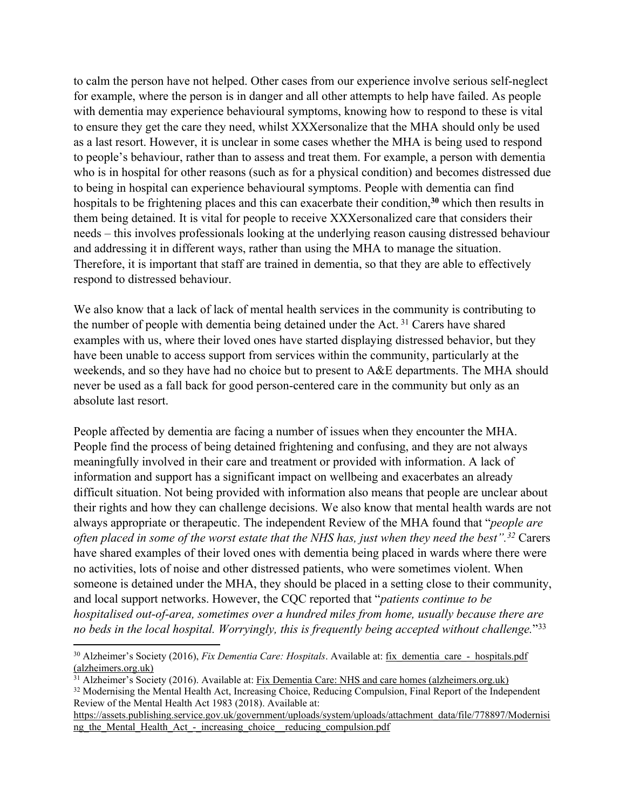to calm the person have not helped. Other cases from our experience involve serious self-neglect for example, where the person is in danger and all other attempts to help have failed. As people with dementia may experience behavioural symptoms, knowing how to respond to these is vital to ensure they get the care they need, whilst XXXersonalize that the MHA should only be used as a last resort. However, it is unclear in some cases whether the MHA is being used to respond to people's behaviour, rather than to assess and treat them. For example, a person with dementia who is in hospital for other reasons (such as for a physical condition) and becomes distressed due to being in hospital can experience behavioural symptoms. People with dementia can find hospitals to be frightening places and this can exacerbate their condition,**<sup>30</sup>** which then results in them being detained. It is vital for people to receive XXXersonalized care that considers their needs – this involves professionals looking at the underlying reason causing distressed behaviour and addressing it in different ways, rather than using the MHA to manage the situation. Therefore, it is important that staff are trained in dementia, so that they are able to effectively respond to distressed behaviour.

We also know that a lack of lack of mental health services in the community is contributing to the number of people with dementia being detained under the Act. <sup>31</sup> Carers have shared examples with us, where their loved ones have started displaying distressed behavior, but they have been unable to access support from services within the community, particularly at the weekends, and so they have had no choice but to present to A&E departments. The MHA should never be used as a fall back for good person-centered care in the community but only as an absolute last resort.

People affected by dementia are facing a number of issues when they encounter the MHA. People find the process of being detained frightening and confusing, and they are not always meaningfully involved in their care and treatment or provided with information. A lack of information and support has a significant impact on wellbeing and exacerbates an already difficult situation. Not being provided with information also means that people are unclear about their rights and how they can challenge decisions. We also know that mental health wards are not always appropriate or therapeutic. The independent Review of the MHA found that "*people are* often placed in some of the worst estate that the NHS has, just when they need the best".<sup>32</sup> Carers have shared examples of their loved ones with dementia being placed in wards where there were no activities, lots of noise and other distressed patients, who were sometimes violent. When someone is detained under the MHA, they should be placed in a setting close to their community, and local support networks. However, the CQC reported that "*patients continue to be hospitalised out-of-area, sometimes over a hundred miles from home, usually because there are no beds in the local hospital. Worryingly, this is frequently being accepted without challenge.*" 33

<sup>&</sup>lt;sup>30</sup> Alzheimer's Society (2016), *Fix Dementia Care: Hospitals*. Available at: fix dementia care - hospitals.pdf [\(alzheimers.org.uk\)](https://www.alzheimers.org.uk/sites/default/files/migrate/downloads/fix_dementia_care_-_hospitals.pdf)

<sup>31</sup> Alzheimer's Society (2016). Available at: [Fix](https://www.alzheimers.org.uk/sites/default/files/migrate/downloads/fix_dementia_care_nhs_and_care_homes_report.pdf) [Dementia](https://www.alzheimers.org.uk/sites/default/files/migrate/downloads/fix_dementia_care_nhs_and_care_homes_report.pdf) [Care:](https://www.alzheimers.org.uk/sites/default/files/migrate/downloads/fix_dementia_care_nhs_and_care_homes_report.pdf) [NHS](https://www.alzheimers.org.uk/sites/default/files/migrate/downloads/fix_dementia_care_nhs_and_care_homes_report.pdf) [and](https://www.alzheimers.org.uk/sites/default/files/migrate/downloads/fix_dementia_care_nhs_and_care_homes_report.pdf) [care](https://www.alzheimers.org.uk/sites/default/files/migrate/downloads/fix_dementia_care_nhs_and_care_homes_report.pdf) [homes](https://www.alzheimers.org.uk/sites/default/files/migrate/downloads/fix_dementia_care_nhs_and_care_homes_report.pdf) [\(alzheimers.org.uk\)](https://www.alzheimers.org.uk/sites/default/files/migrate/downloads/fix_dementia_care_nhs_and_care_homes_report.pdf)

<sup>&</sup>lt;sup>32</sup> Modernising the Mental Health Act, Increasing Choice, Reducing Compulsion, Final Report of the Independent Review of the Mental Health Act 1983 (2018). Available at:

[https://assets.publishing.service.gov.uk/government/uploads/system/uploads/attachment\\_data/file/778897/Modernisi](https://assets.publishing.service.gov.uk/government/uploads/system/uploads/attachment_data/file/778897/Modernising_the_Mental_Health_Act_-_increasing_choice__reducing_compulsion.pdf) ng the Mental Health Act - increasing choice reducing compulsion.pdf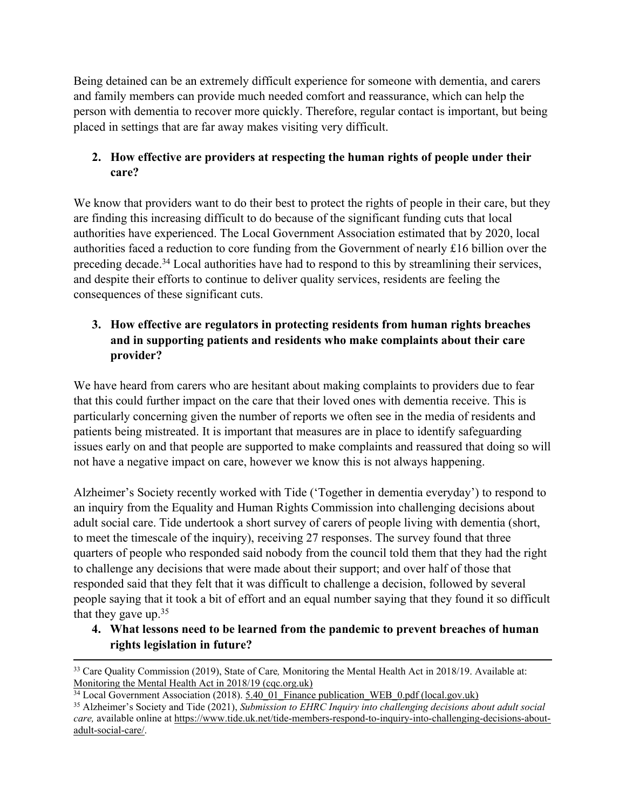Being detained can be an extremely difficult experience for someone with dementia, and carers and family members can provide much needed comfort and reassurance, which can help the person with dementia to recover more quickly. Therefore, regular contact is important, but being placed in settings that are far away makes visiting very difficult.

# **2. How effective are providers at respecting the human rights of people under their care?**

We know that providers want to do their best to protect the rights of people in their care, but they are finding this increasing difficult to do because of the significant funding cuts that local authorities have experienced. The Local Government Association estimated that by 2020, local authorities faced a reduction to core funding from the Government of nearly £16 billion over the preceding decade.<sup>34</sup> Local authorities have had to respond to this by streamlining their services, and despite their efforts to continue to deliver quality services, residents are feeling the consequences of these significant cuts.

# **3. How effective are regulators in protecting residents from human rights breaches and in supporting patients and residents who make complaints about their care provider?**

We have heard from carers who are hesitant about making complaints to providers due to fear that this could further impact on the care that their loved ones with dementia receive. This is particularly concerning given the number of reports we often see in the media of residents and patients being mistreated. It is important that measures are in place to identify safeguarding issues early on and that people are supported to make complaints and reassured that doing so will not have a negative impact on care, however we know this is not always happening.

Alzheimer's Society recently worked with Tide ('Together in dementia everyday') to respond to an inquiry from the Equality and Human Rights Commission into challenging decisions about adult social care. Tide undertook a short survey of carers of people living with dementia (short, to meet the timescale of the inquiry), receiving 27 responses. The survey found that three quarters of people who responded said nobody from the council told them that they had the right to challenge any decisions that were made about their support; and over half of those that responded said that they felt that it was difficult to challenge a decision, followed by several people saying that it took a bit of effort and an equal number saying that they found it so difficult that they gave up.<sup>35</sup>

# **4. What lessons need to be learned from the pandemic to prevent breaches of human rights legislation in future?**

<sup>33</sup> Care Quality Commission (2019), State of Care*,* Monitoring the Mental Health Act in 2018/19. Available at: [Monitoring](https://www.cqc.org.uk/sites/default/files/20200206_mhareport1819_report.pdf) [the](https://www.cqc.org.uk/sites/default/files/20200206_mhareport1819_report.pdf) [Mental](https://www.cqc.org.uk/sites/default/files/20200206_mhareport1819_report.pdf) [Health](https://www.cqc.org.uk/sites/default/files/20200206_mhareport1819_report.pdf) [Act](https://www.cqc.org.uk/sites/default/files/20200206_mhareport1819_report.pdf) [in](https://www.cqc.org.uk/sites/default/files/20200206_mhareport1819_report.pdf) [2018/19](https://www.cqc.org.uk/sites/default/files/20200206_mhareport1819_report.pdf) (cac.org.uk)

<sup>&</sup>lt;sup>34</sup> Local Government Association (2018). 5.40 01 Finance publication WEB 0.pdf [\(local.gov.uk\)](https://www.local.gov.uk/sites/default/files/documents/5.40_01_Finance%20publication_WEB_0.pdf)

<sup>35</sup> Alzheimer's Society and Tide (2021), *Submission to EHRC Inquiry into challenging decisions about adult social care,* available online at [https://www.tide.uk.net/tide-members-respond-to-inquiry-into-challenging-decisions-about](https://eur01.safelinks.protection.outlook.com/?url=https%3A%2F%2Fwww.tide.uk.net%2Ftide-members-respond-to-inquiry-into-challenging-decisions-about-adult-social-care%2F&data=04%7C01%7CAlex.Osborne%40alzheimers.org.uk%7C92a8945718044e2d326308d998597e13%7C8028081de881430fa45166faa9b76c8e%7C0%7C0%7C637708332393309051%7CUnknown%7CTWFpbGZsb3d8eyJWIjoiMC4wLjAwMDAiLCJQIjoiV2luMzIiLCJBTiI6Ik1haWwiLCJXVCI6Mn0%3D%7C1000&sdata=uHeZkJ6GCjns3xhG0ymlrrvh6ozuByOZ0SsMoTRN7%2Bw%3D&reserved=0)[adult-social-care/](https://eur01.safelinks.protection.outlook.com/?url=https%3A%2F%2Fwww.tide.uk.net%2Ftide-members-respond-to-inquiry-into-challenging-decisions-about-adult-social-care%2F&data=04%7C01%7CAlex.Osborne%40alzheimers.org.uk%7C92a8945718044e2d326308d998597e13%7C8028081de881430fa45166faa9b76c8e%7C0%7C0%7C637708332393309051%7CUnknown%7CTWFpbGZsb3d8eyJWIjoiMC4wLjAwMDAiLCJQIjoiV2luMzIiLCJBTiI6Ik1haWwiLCJXVCI6Mn0%3D%7C1000&sdata=uHeZkJ6GCjns3xhG0ymlrrvh6ozuByOZ0SsMoTRN7%2Bw%3D&reserved=0).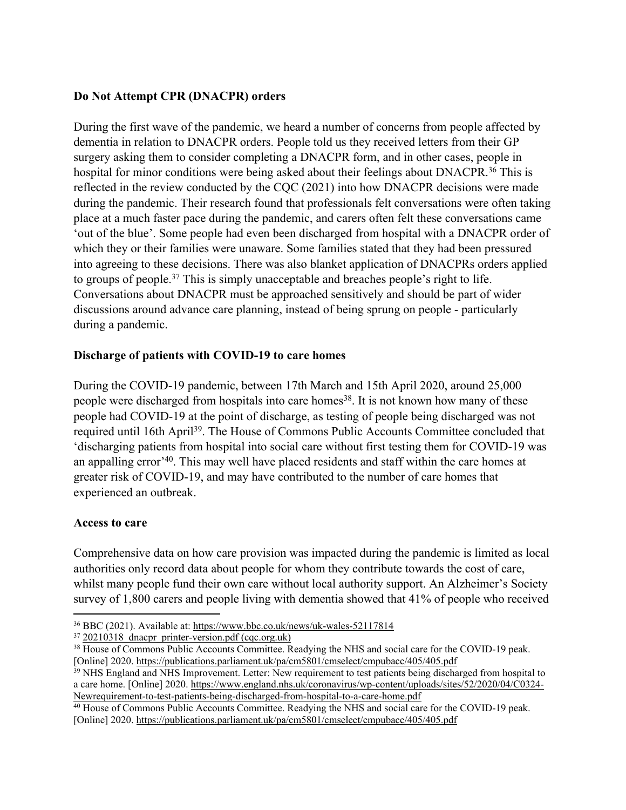## **Do Not Attempt CPR (DNACPR) orders**

During the first wave of the pandemic, we heard a number of concerns from people affected by dementia in relation to DNACPR orders. People told us they received letters from their GP surgery asking them to consider completing a DNACPR form, and in other cases, people in hospital for minor conditions were being asked about their feelings about DNACPR.<sup>36</sup> This is reflected in the review conducted by the CQC (2021) into how DNACPR decisions were made during the pandemic. Their research found that professionals felt conversations were often taking place at a much faster pace during the pandemic, and carers often felt these conversations came 'out of the blue'. Some people had even been discharged from hospital with a DNACPR order of which they or their families were unaware. Some families stated that they had been pressured into agreeing to these decisions. There was also blanket application of DNACPRs orders applied to groups of people.<sup>37</sup> This is simply unacceptable and breaches people's right to life. Conversations about DNACPR must be approached sensitively and should be part of wider discussions around advance care planning, instead of being sprung on people - particularly during a pandemic.

### **Discharge of patients with COVID-19 to care homes**

During the COVID-19 pandemic, between 17th March and 15th April 2020, around 25,000 people were discharged from hospitals into care homes<sup>38</sup>. It is not known how many of these people had COVID-19 at the point of discharge, as testing of people being discharged was not required until 16th April<sup>39</sup>. The House of Commons Public Accounts Committee concluded that 'discharging patients from hospital into social care without first testing them for COVID-19 was an appalling error<sup>240</sup>. This may well have placed residents and staff within the care homes at greater risk of COVID-19, and may have contributed to the number of care homes that experienced an outbreak.

### **Access to care**

Comprehensive data on how care provision was impacted during the pandemic is limited as local authorities only record data about people for whom they contribute towards the cost of care, whilst many people fund their own care without local authority support. An Alzheimer's Society survey of 1,800 carers and people living with dementia showed that 41% of people who received

<sup>37</sup> 20210318 dnacpr\_printer-version.pdf [\(cqc.org.uk\)](https://www.cqc.org.uk/sites/default/files/20210318_dnacpr_printer-version.pdf)

<sup>36</sup> BBC (2021). Available at: <https://www.bbc.co.uk/news/uk-wales-52117814>

<sup>38</sup> House of Commons Public Accounts Committee. Readying the NHS and social care for the COVID-19 peak. [Online] 2020. <https://publications.parliament.uk/pa/cm5801/cmselect/cmpubacc/405/405.pdf>

<sup>&</sup>lt;sup>39</sup> NHS England and NHS Improvement. Letter: New requirement to test patients being discharged from hospital to a care home. [Online] 2020. [https://www.england.nhs.uk/coronavirus/wp-content/uploads/sites/52/2020/04/C0324-](https://www.england.nhs.uk/coronavirus/wp-content/uploads/sites/52/2020/04/C0324-Newrequirement-to-test-patients-being-discharged-from-hospital-to-a-care-home.pdf) [Newrequirement-to-test-patients-being-discharged-from-hospital-to-a-care-home.pdf](https://www.england.nhs.uk/coronavirus/wp-content/uploads/sites/52/2020/04/C0324-Newrequirement-to-test-patients-being-discharged-from-hospital-to-a-care-home.pdf)

<sup>40</sup> House of Commons Public Accounts Committee. Readying the NHS and social care for the COVID-19 peak. [Online] 2020. <https://publications.parliament.uk/pa/cm5801/cmselect/cmpubacc/405/405.pdf>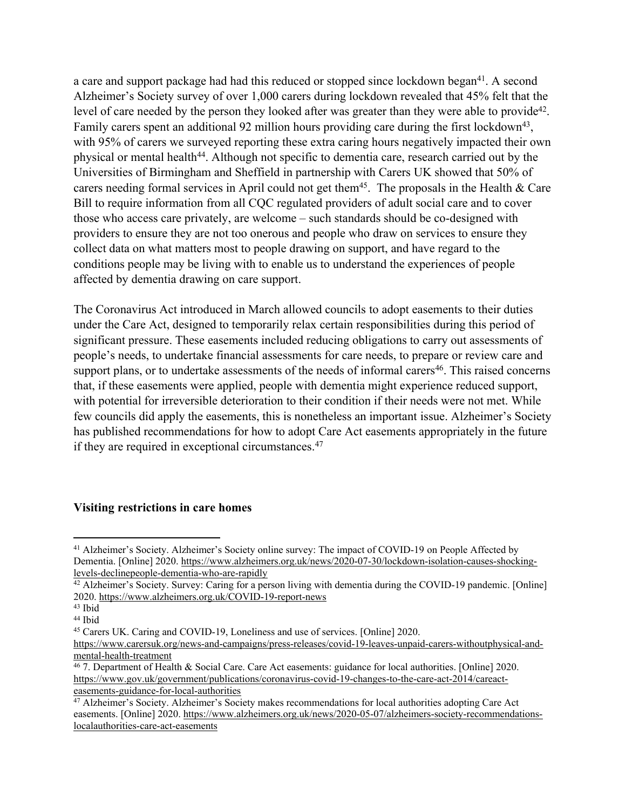a care and support package had had this reduced or stopped since lockdown began<sup>41</sup>. A second Alzheimer's Society survey of over 1,000 carers during lockdown revealed that 45% felt that the level of care needed by the person they looked after was greater than they were able to provide<sup>42</sup>. Family carers spent an additional 92 million hours providing care during the first lockdown<sup>43</sup>, with 95% of carers we surveyed reporting these extra caring hours negatively impacted their own physical or mental health<sup>44</sup>. Although not specific to dementia care, research carried out by the Universities of Birmingham and Sheffield in partnership with Carers UK showed that 50% of carers needing formal services in April could not get them<sup>45</sup>. The proposals in the Health  $\&$  Care Bill to require information from all CQC regulated providers of adult social care and to cover those who access care privately, are welcome – such standards should be co-designed with providers to ensure they are not too onerous and people who draw on services to ensure they collect data on what matters most to people drawing on support, and have regard to the conditions people may be living with to enable us to understand the experiences of people affected by dementia drawing on care support.

The Coronavirus Act introduced in March allowed councils to adopt easements to their duties under the Care Act, designed to temporarily relax certain responsibilities during this period of significant pressure. These easements included reducing obligations to carry out assessments of people's needs, to undertake financial assessments for care needs, to prepare or review care and support plans, or to undertake assessments of the needs of informal carers<sup>46</sup>. This raised concerns that, if these easements were applied, people with dementia might experience reduced support, with potential for irreversible deterioration to their condition if their needs were not met. While few councils did apply the easements, this is nonetheless an important issue. Alzheimer's Society has published recommendations for how to adopt Care Act easements appropriately in the future if they are required in exceptional circumstances.<sup>47</sup>

#### **Visiting restrictions in care homes**

<sup>41</sup> Alzheimer's Society. Alzheimer's Society online survey: The impact of COVID-19 on People Affected by Dementia. [Online] 2020. [https://www.alzheimers.org.uk/news/2020-07-30/lockdown-isolation-causes-shocking](https://www.alzheimers.org.uk/news/2020-07-30/lockdown-isolation-causes-shocking-levels-declinepeople-dementia-who-are-rapidly)[levels-declinepeople-dementia-who-are-rapidly](https://www.alzheimers.org.uk/news/2020-07-30/lockdown-isolation-causes-shocking-levels-declinepeople-dementia-who-are-rapidly)

<sup>42</sup> Alzheimer's Society. Survey: Caring for a person living with dementia during the COVID-19 pandemic. [Online] 2020. <https://www.alzheimers.org.uk/COVID-19-report-news>

<sup>43</sup> Ibid

<sup>44</sup> Ibid

<sup>45</sup> Carers UK. Caring and COVID-19, Loneliness and use of services. [Online] 2020.

[https://www.carersuk.org/news-and-campaigns/press-releases/covid-19-leaves-unpaid-carers-withoutphysical-and](https://www.carersuk.org/news-and-campaigns/press-releases/covid-19-leaves-unpaid-carers-withoutphysical-and-mental-health-treatment)[mental-health-treatment](https://www.carersuk.org/news-and-campaigns/press-releases/covid-19-leaves-unpaid-carers-withoutphysical-and-mental-health-treatment)

<sup>46</sup> 7. Department of Health & Social Care. Care Act easements: guidance for local authorities. [Online] 2020. [https://www.gov.uk/government/publications/coronavirus-covid-19-changes-to-the-care-act-2014/careact](https://www.gov.uk/government/publications/coronavirus-covid-19-changes-to-the-care-act-2014/careact-easements-guidance-for-local-authorities)[easements-guidance-for-local-authorities](https://www.gov.uk/government/publications/coronavirus-covid-19-changes-to-the-care-act-2014/careact-easements-guidance-for-local-authorities)

<sup>&</sup>lt;sup>47</sup> Alzheimer's Society. Alzheimer's Society makes recommendations for local authorities adopting Care Act easements. [Online] 2020. [https://www.alzheimers.org.uk/news/2020-05-07/alzheimers-society-recommendations](https://www.alzheimers.org.uk/news/2020-05-07/alzheimers-society-recommendations-localauthorities-care-act-easements)[localauthorities-care-act-easements](https://www.alzheimers.org.uk/news/2020-05-07/alzheimers-society-recommendations-localauthorities-care-act-easements)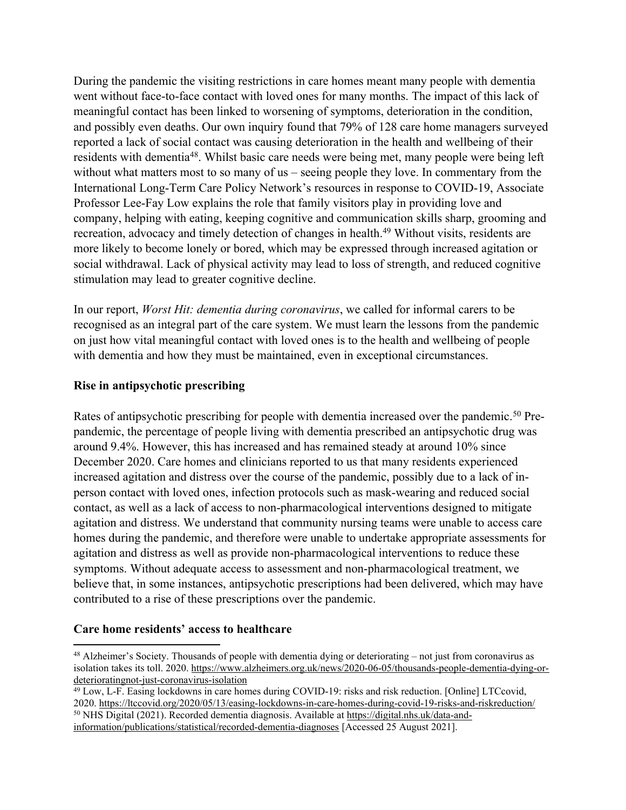During the pandemic the visiting restrictions in care homes meant many people with dementia went without face-to-face contact with loved ones for many months. The impact of this lack of meaningful contact has been linked to worsening of symptoms, deterioration in the condition, and possibly even deaths. Our own inquiry found that 79% of 128 care home managers surveyed reported a lack of social contact was causing deterioration in the health and wellbeing of their residents with dementia<sup>48</sup>. Whilst basic care needs were being met, many people were being left without what matters most to so many of us – seeing people they love. In commentary from the International Long-Term Care Policy Network's resources in response to COVID-19, Associate Professor Lee-Fay Low explains the role that family visitors play in providing love and company, helping with eating, keeping cognitive and communication skills sharp, grooming and recreation, advocacy and timely detection of changes in health.<sup>49</sup> Without visits, residents are more likely to become lonely or bored, which may be expressed through increased agitation or social withdrawal. Lack of physical activity may lead to loss of strength, and reduced cognitive stimulation may lead to greater cognitive decline.

In our report, *Worst Hit: dementia during coronavirus*, we called for informal carers to be recognised as an integral part of the care system. We must learn the lessons from the pandemic on just how vital meaningful contact with loved ones is to the health and wellbeing of people with dementia and how they must be maintained, even in exceptional circumstances.

#### **Rise in antipsychotic prescribing**

Rates of antipsychotic prescribing for people with dementia increased over the pandemic.<sup>50</sup> Prepandemic, the percentage of people living with dementia prescribed an antipsychotic drug was around 9.4%. However, this has increased and has remained steady at around 10% since December 2020. Care homes and clinicians reported to us that many residents experienced increased agitation and distress over the course of the pandemic, possibly due to a lack of inperson contact with loved ones, infection protocols such as mask-wearing and reduced social contact, as well as a lack of access to non-pharmacological interventions designed to mitigate agitation and distress. We understand that community nursing teams were unable to access care homes during the pandemic, and therefore were unable to undertake appropriate assessments for agitation and distress as well as provide non-pharmacological interventions to reduce these symptoms. Without adequate access to assessment and non-pharmacological treatment, we believe that, in some instances, antipsychotic prescriptions had been delivered, which may have contributed to a rise of these prescriptions over the pandemic.

#### **Care home residents' access to healthcare**

<sup>48</sup> Alzheimer's Society. Thousands of people with dementia dying or deteriorating – not just from coronavirus as isolation takes its toll. 2020. [https://www.alzheimers.org.uk/news/2020-06-05/thousands-people-dementia-dying-or](https://www.alzheimers.org.uk/news/2020-06-05/thousands-people-dementia-dying-or-deterioratingnot-just-coronavirus-isolation)[deterioratingnot-just-coronavirus-isolation](https://www.alzheimers.org.uk/news/2020-06-05/thousands-people-dementia-dying-or-deterioratingnot-just-coronavirus-isolation)

<sup>49</sup> Low, L-F. Easing lockdowns in care homes during COVID-19: risks and risk reduction. [Online] LTCcovid, 2020. <https://ltccovid.org/2020/05/13/easing-lockdowns-in-care-homes-during-covid-19-risks-and-riskreduction/> <sup>50</sup> NHS Digital (2021). Recorded dementia diagnosis. Available at [https://digital.nhs.uk/data-and](https://digital.nhs.uk/data-and-information/publications/statistical/recorded-dementia-diagnoses)[information/publications/statistical/recorded-dementia-diagnoses](https://digital.nhs.uk/data-and-information/publications/statistical/recorded-dementia-diagnoses) [Accessed 25 August 2021].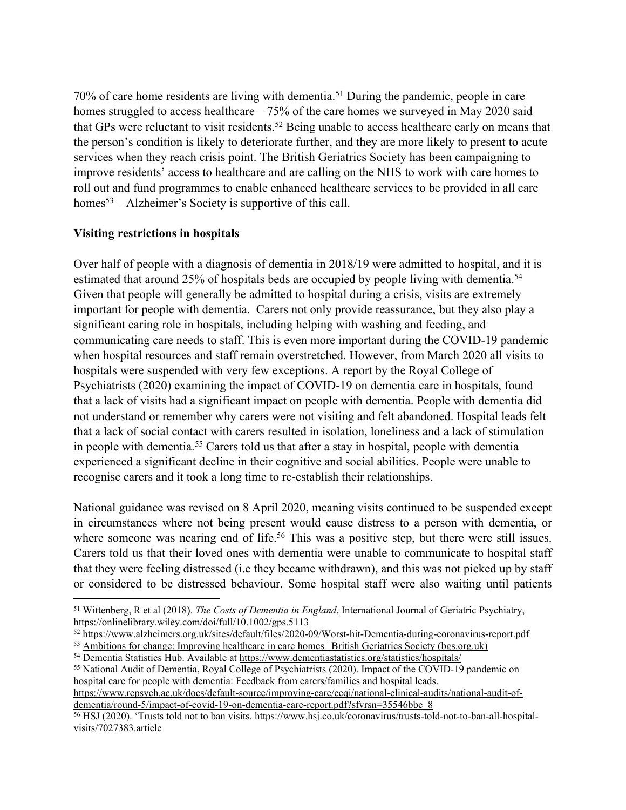70% of care home residents are living with dementia.<sup>51</sup> During the pandemic, people in care homes struggled to access healthcare – 75% of the care homes we surveyed in May 2020 said that GPs were reluctant to visit residents.<sup>52</sup> Being unable to access healthcare early on means that the person's condition is likely to deteriorate further, and they are more likely to present to acute services when they reach crisis point. The British Geriatrics Society has been campaigning to improve residents' access to healthcare and are calling on the NHS to work with care homes to roll out and fund programmes to enable enhanced healthcare services to be provided in all care homes<sup>53</sup> – Alzheimer's Society is supportive of this call.

## **Visiting restrictions in hospitals**

Over half of people with a diagnosis of dementia in 2018/19 were admitted to hospital, and it is estimated that around 25% of hospitals beds are occupied by people living with dementia.<sup>54</sup> Given that people will generally be admitted to hospital during a crisis, visits are extremely important for people with dementia. Carers not only provide reassurance, but they also play a significant caring role in hospitals, including helping with washing and feeding, and communicating care needs to staff. This is even more important during the COVID-19 pandemic when hospital resources and staff remain overstretched. However, from March 2020 all visits to hospitals were suspended with very few exceptions. A report by the Royal College of Psychiatrists (2020) examining the impact of COVID-19 on dementia care in hospitals, found that a lack of visits had a significant impact on people with dementia. People with dementia did not understand or remember why carers were not visiting and felt abandoned. Hospital leads felt that a lack of social contact with carers resulted in isolation, loneliness and a lack of stimulation in people with dementia.<sup>55</sup> Carers told us that after a stay in hospital, people with dementia experienced a significant decline in their cognitive and social abilities. People were unable to recognise carers and it took a long time to re-establish their relationships.

National guidance was revised on 8 April 2020, meaning visits continued to be suspended except in circumstances where not being present would cause distress to a person with dementia, or where someone was nearing end of life.<sup>56</sup> This was a positive step, but there were still issues. Carers told us that their loved ones with dementia were unable to communicate to hospital staff that they were feeling distressed (i.e they became withdrawn), and this was not picked up by staff or considered to be distressed behaviour. Some hospital staff were also waiting until patients

<sup>51</sup> Wittenberg, R et al (2018). *The Costs of Dementia in England*, International Journal of Geriatric Psychiatry, [https://onlinelibrary.wiley.com/doi/full/10.1002/gps.5113](https://eur01.safelinks.protection.outlook.com/?url=https%3A%2F%2Fonlinelibrary.wiley.com%2Fdoi%2Ffull%2F10.1002%2Fgps.5113&data=04%7C01%7CAlex.Osborne%40alzheimers.org.uk%7C92a8945718044e2d326308d998597e13%7C8028081de881430fa45166faa9b76c8e%7C0%7C0%7C637708332393319008%7CUnknown%7CTWFpbGZsb3d8eyJWIjoiMC4wLjAwMDAiLCJQIjoiV2luMzIiLCJBTiI6Ik1haWwiLCJXVCI6Mn0%3D%7C1000&sdata=OeGHDLB0LwIujMRw2O%2BtdngBu5rQEyjlNroFLRZQGOk%3D&reserved=0)

<sup>52</sup> <https://www.alzheimers.org.uk/sites/default/files/2020-09/Worst-hit-Dementia-during-coronavirus-report.pdf>

<sup>53</sup> [Ambitions](https://www.bgs.org.uk/resources/ambitions-for-change-improving-healthcare-in-care-homes) [for](https://www.bgs.org.uk/resources/ambitions-for-change-improving-healthcare-in-care-homes) [change:](https://www.bgs.org.uk/resources/ambitions-for-change-improving-healthcare-in-care-homes) [Improving](https://www.bgs.org.uk/resources/ambitions-for-change-improving-healthcare-in-care-homes) [healthcare](https://www.bgs.org.uk/resources/ambitions-for-change-improving-healthcare-in-care-homes) [in](https://www.bgs.org.uk/resources/ambitions-for-change-improving-healthcare-in-care-homes) [care](https://www.bgs.org.uk/resources/ambitions-for-change-improving-healthcare-in-care-homes) [homes](https://www.bgs.org.uk/resources/ambitions-for-change-improving-healthcare-in-care-homes) [|](https://www.bgs.org.uk/resources/ambitions-for-change-improving-healthcare-in-care-homes) [British](https://www.bgs.org.uk/resources/ambitions-for-change-improving-healthcare-in-care-homes) [Geriatrics](https://www.bgs.org.uk/resources/ambitions-for-change-improving-healthcare-in-care-homes) [Society](https://www.bgs.org.uk/resources/ambitions-for-change-improving-healthcare-in-care-homes) [\(bgs.org.uk\)](https://www.bgs.org.uk/resources/ambitions-for-change-improving-healthcare-in-care-homes) <sup>54</sup> Dementia Statistics Hub. Available at <https://www.dementiastatistics.org/statistics/hospitals/>

<sup>55</sup> National Audit of Dementia, Royal College of Psychiatrists (2020). Impact of the COVID-19 pandemic on hospital care for people with dementia: Feedback from carers/families and hospital leads.

[https://www.rcpsych.ac.uk/docs/default-source/improving-care/ccqi/national-clinical-audits/national-audit-of](https://www.rcpsych.ac.uk/docs/default-source/improving-care/ccqi/national-clinical-audits/national-audit-of-dementia/round-5/impact-of-covid-19-on-dementia-care-report.pdf?sfvrsn=35546bbc_8)[dementia/round-5/impact-of-covid-19-on-dementia-care-report.pdf?sfvrsn=35546bbc\\_8](https://www.rcpsych.ac.uk/docs/default-source/improving-care/ccqi/national-clinical-audits/national-audit-of-dementia/round-5/impact-of-covid-19-on-dementia-care-report.pdf?sfvrsn=35546bbc_8)

<sup>56</sup> HSJ (2020). 'Trusts told not to ban visits. [https://www.hsj.co.uk/coronavirus/trusts-told-not-to-ban-all-hospital](https://www.hsj.co.uk/coronavirus/trusts-told-not-to-ban-all-hospital-visits/7027383.article)[visits/7027383.article](https://www.hsj.co.uk/coronavirus/trusts-told-not-to-ban-all-hospital-visits/7027383.article)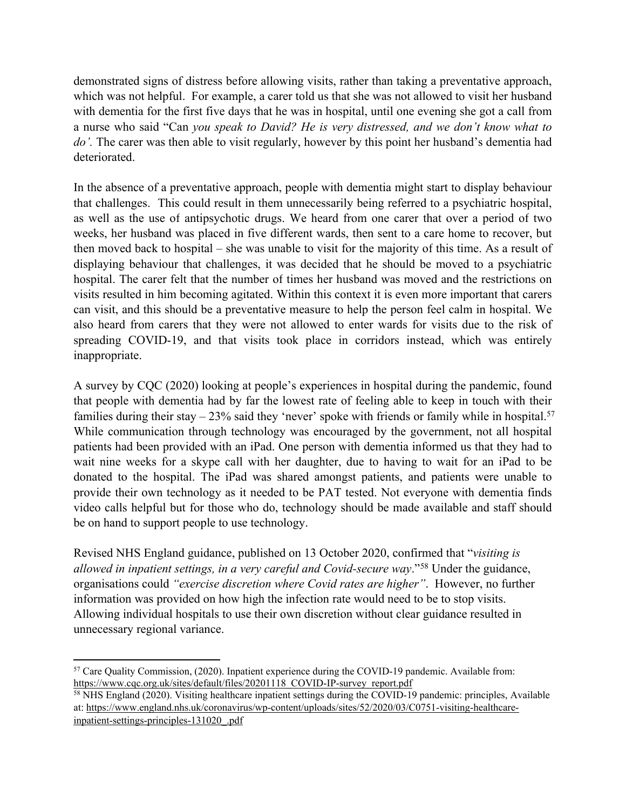demonstrated signs of distress before allowing visits, rather than taking a preventative approach, which was not helpful. For example, a carer told us that she was not allowed to visit her husband with dementia for the first five days that he was in hospital, until one evening she got a call from a nurse who said "Can *you speak to David? He is very distressed, and we don't know what to do'.* The carer was then able to visit regularly, however by this point her husband's dementia had deteriorated.

In the absence of a preventative approach, people with dementia might start to display behaviour that challenges. This could result in them unnecessarily being referred to a psychiatric hospital, as well as the use of antipsychotic drugs. We heard from one carer that over a period of two weeks, her husband was placed in five different wards, then sent to a care home to recover, but then moved back to hospital – she was unable to visit for the majority of this time. As a result of displaying behaviour that challenges, it was decided that he should be moved to a psychiatric hospital. The carer felt that the number of times her husband was moved and the restrictions on visits resulted in him becoming agitated. Within this context it is even more important that carers can visit, and this should be a preventative measure to help the person feel calm in hospital. We also heard from carers that they were not allowed to enter wards for visits due to the risk of spreading COVID-19, and that visits took place in corridors instead, which was entirely inappropriate.

A survey by CQC (2020) looking at people's experiences in hospital during the pandemic, found that people with dementia had by far the lowest rate of feeling able to keep in touch with their families during their stay  $-23\%$  said they 'never' spoke with friends or family while in hospital.<sup>57</sup> While communication through technology was encouraged by the government, not all hospital patients had been provided with an iPad. One person with dementia informed us that they had to wait nine weeks for a skype call with her daughter, due to having to wait for an iPad to be donated to the hospital. The iPad was shared amongst patients, and patients were unable to provide their own technology as it needed to be PAT tested. Not everyone with dementia finds video calls helpful but for those who do, technology should be made available and staff should be on hand to support people to use technology.

Revised NHS England guidance, published on 13 October 2020, confirmed that "*visiting is allowed in inpatient settings, in a very careful and Covid-secure way*."<sup>58</sup> Under the guidance, organisations could *"exercise discretion where Covid rates are higher"*. However, no further information was provided on how high the infection rate would need to be to stop visits. Allowing individual hospitals to use their own discretion without clear guidance resulted in unnecessary regional variance.

<sup>57</sup> Care Quality Commission, (2020). Inpatient experience during the COVID-19 pandemic. Available from: [https://www.cqc.org.uk/sites/default/files/20201118\\_COVID-IP-survey\\_report.pdf](https://www.cqc.org.uk/sites/default/files/20201118_COVID-IP-survey_report.pdf) 

<sup>58</sup> NHS England (2020). Visiting healthcare inpatient settings during the COVID-19 pandemic: principles, Available at: [https://www.england.nhs.uk/coronavirus/wp-content/uploads/sites/52/2020/03/C0751-visiting-healthcare](https://www.england.nhs.uk/coronavirus/wp-content/uploads/sites/52/2020/03/C0751-visiting-healthcare-inpatient-settings-principles-131020_.pdf)[inpatient-settings-principles-131020\\_.pdf](https://www.england.nhs.uk/coronavirus/wp-content/uploads/sites/52/2020/03/C0751-visiting-healthcare-inpatient-settings-principles-131020_.pdf)